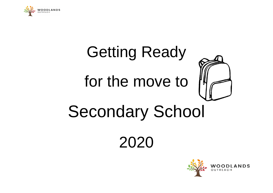

# Getting Ready for the move to Secondary School

2020

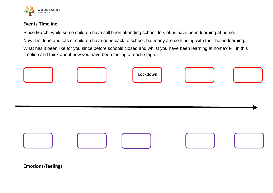

#### **Events Timeline**

Since March, while some children have still been attending school, lots of us have been learning at home.

Now it is June and lots of children have gone back to school, but many are continuing with their home learning.

What has it been like for you since before schools closed and whilst you have been learning at home? Fill in this timeline and think about how you have been feeling at each stage.





**Emotions/feelings**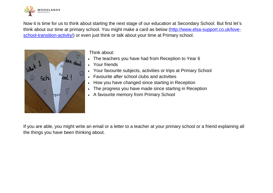

Now it is time for us to think about starting the next stage of our education at Secondary School. But first let's think about our time at primary school. You might make a card as below [\(http://www.elsa-support.co.uk/love](http://www.elsa-support.co.uk/love-school-transition-activity/)[school-transition-activity/\)](http://www.elsa-support.co.uk/love-school-transition-activity/) or even just think or talk about your time at Primary school.



Think about:

- The teachers you have had from Reception to Year 6
	- Your friends
- Your favourite subjects, activities or trips at Primary School
- Favourite after school clubs and activities
- How you have changed since starting in Reception
- The progress you have made since starting in Reception
- A favourite memory from Primary School

If you are able, you might write an email or a letter to a teacher at your primary school or a friend explaining all the things you have been thinking about.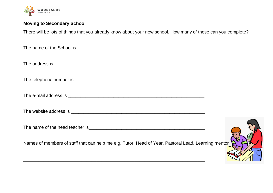

## **Moving to Secondary School**

There will be lots of things that you already know about your new school. How many of these can you complete?

| Names of members of staff that can help me e.g. Tutor, Head of Year, Pastoral Lead, Learning mentor |  |
|-----------------------------------------------------------------------------------------------------|--|

\_\_\_\_\_\_\_\_\_\_\_\_\_\_\_\_\_\_\_\_\_\_\_\_\_\_\_\_\_\_\_\_\_\_\_\_\_\_\_\_\_\_\_\_\_\_\_\_\_\_\_\_\_\_\_\_\_\_\_\_\_\_\_\_\_\_\_\_\_\_\_\_

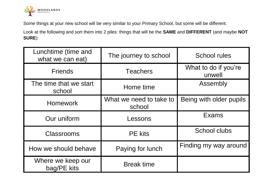

Some things at your new school will be very similar to your Primary School, but some will be different.

Look at the following and sort them into 2 piles: things that will be the **SAME** and **DIFFERENT** (and maybe **NOT SURE**):

| Lunchtime (time and<br>what we can eat) | The journey to school             | <b>School rules</b>            |
|-----------------------------------------|-----------------------------------|--------------------------------|
| <b>Friends</b>                          | <b>Teachers</b>                   | What to do if you're<br>unwell |
| The time that we start<br>school        | Home time                         | Assembly                       |
| <b>Homework</b>                         | What we need to take to<br>school | Being with older pupils        |
| Our uniform                             | Lessons                           | Exams                          |
| <b>Classrooms</b>                       | <b>PE</b> kits                    | <b>School clubs</b>            |
| How we should behave                    | Paying for lunch                  | Finding my way around          |
| Where we keep our<br>bag/PE kits        | <b>Break time</b>                 |                                |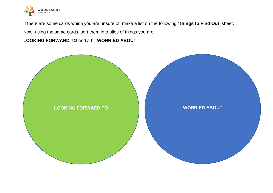

If there are some cards which you are unsure of, make a list on the following '**Things to Find Out'** sheet.

Now, using the same cards, sort them into piles of things you are

### **LOOKING FORWARD TO** and a bit **WORRIED ABOUT**

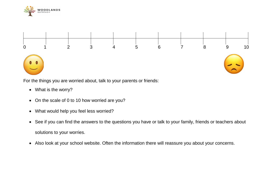



For the things you are worried about, talk to your parents or friends:

- What is the worry?
- On the scale of 0 to 10 how worried are you?
- What would help you feel less worried?
- See if you can find the answers to the questions you have or talk to your family, friends or teachers about solutions to your worries.
- Also look at your school website. Often the information there will reassure you about your concerns.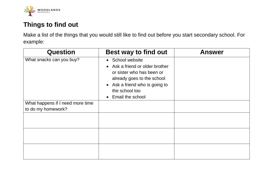

## **Things to find out**

Make a list of the things that you would still like to find out before you start secondary school. For example:

| <b>Question</b>                                        | <b>Best way to find out</b>                                                                                                                                                            | <b>Answer</b> |
|--------------------------------------------------------|----------------------------------------------------------------------------------------------------------------------------------------------------------------------------------------|---------------|
| What snacks can you buy?                               | • School website<br>• Ask a friend or older brother<br>or sister who has been or<br>already goes to the school<br>• Ask a friend who is going to<br>the school too<br>Email the school |               |
| What happens if I need more time<br>to do my homework? |                                                                                                                                                                                        |               |
|                                                        |                                                                                                                                                                                        |               |
|                                                        |                                                                                                                                                                                        |               |
|                                                        |                                                                                                                                                                                        |               |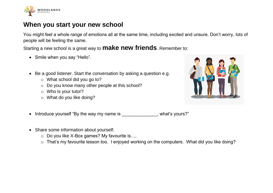

## **When you start your new school**

You might feel a whole range of emotions all at the same time, including excited and unsure. Don't worry, lots of people will be feeling the same.

Starting a new school is a great way to **make new friends**. Remember to:

- Smile when you say "Hello".
- Be a good listener. Start the conversation by asking a question e.g.
	- o What school did you go to?
	- o Do you know many other people at this school?
	- o Who is your tutor?
	- o What do you like doing?



- Introduce yourself "By the way my name is example the way my name is a set of the system of the lines?"
- Share some information about yourself:
	- o Do you like X-Box games? My favourite is….
	- o That's my favourite lesson too. I enjoyed working on the computers. What did you like doing?